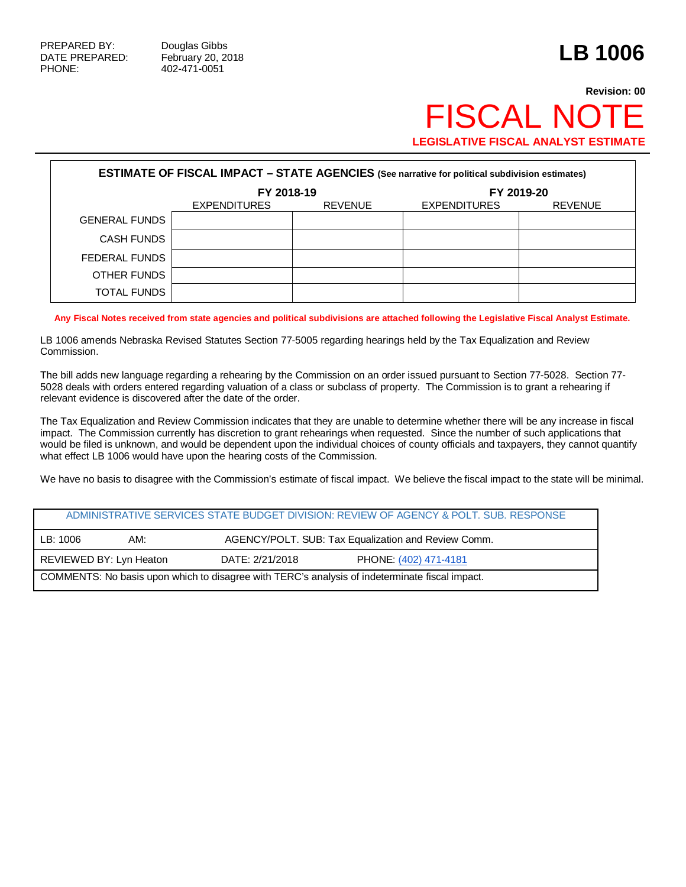PHONE: 402-471-0051

## **Revision: 00 FISCAL NO LEGISLATIVE FISCAL ANALYST ESTIMATE**

| <b>ESTIMATE OF FISCAL IMPACT - STATE AGENCIES (See narrative for political subdivision estimates)</b> |                     |                |                     |                |  |  |
|-------------------------------------------------------------------------------------------------------|---------------------|----------------|---------------------|----------------|--|--|
|                                                                                                       | FY 2018-19          |                | FY 2019-20          |                |  |  |
|                                                                                                       | <b>EXPENDITURES</b> | <b>REVENUE</b> | <b>EXPENDITURES</b> | <b>REVENUE</b> |  |  |
| <b>GENERAL FUNDS</b>                                                                                  |                     |                |                     |                |  |  |
| CASH FUNDS                                                                                            |                     |                |                     |                |  |  |
| FEDERAL FUNDS                                                                                         |                     |                |                     |                |  |  |
| OTHER FUNDS                                                                                           |                     |                |                     |                |  |  |
| TOTAL FUNDS                                                                                           |                     |                |                     |                |  |  |

**Any Fiscal Notes received from state agencies and political subdivisions are attached following the Legislative Fiscal Analyst Estimate.**

LB 1006 amends Nebraska Revised Statutes Section 77-5005 regarding hearings held by the Tax Equalization and Review Commission.

The bill adds new language regarding a rehearing by the Commission on an order issued pursuant to Section 77-5028. Section 77- 5028 deals with orders entered regarding valuation of a class or subclass of property. The Commission is to grant a rehearing if relevant evidence is discovered after the date of the order.

The Tax Equalization and Review Commission indicates that they are unable to determine whether there will be any increase in fiscal impact. The Commission currently has discretion to grant rehearings when requested. Since the number of such applications that would be filed is unknown, and would be dependent upon the individual choices of county officials and taxpayers, they cannot quantify what effect LB 1006 would have upon the hearing costs of the Commission.

We have no basis to disagree with the Commission's estimate of fiscal impact. We believe the fiscal impact to the state will be minimal.

|                                                                                                |                         |                                                     | ADMINISTRATIVE SERVICES STATE BUDGET DIVISION: REVIEW OF AGENCY & POLT. SUB. RESPONSE |  |
|------------------------------------------------------------------------------------------------|-------------------------|-----------------------------------------------------|---------------------------------------------------------------------------------------|--|
| LB:1006                                                                                        | AM:                     | AGENCY/POLT. SUB: Tax Equalization and Review Comm. |                                                                                       |  |
|                                                                                                | REVIEWED BY: Lyn Heaton | DATE: 2/21/2018                                     | PHONE: (402) 471-4181                                                                 |  |
| COMMENTS: No basis upon which to disagree with TERC's analysis of indeterminate fiscal impact. |                         |                                                     |                                                                                       |  |